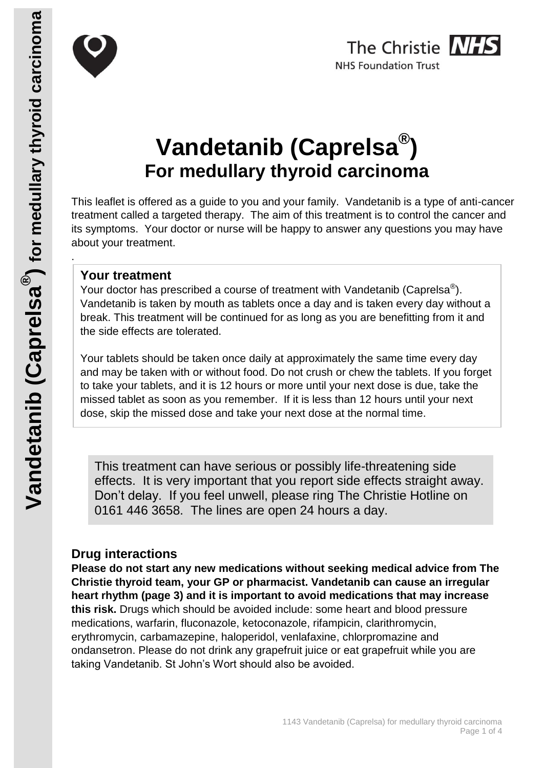

# **Vandetanib (Caprelsa® ) For medullary thyroid carcinoma**

This leaflet is offered as a guide to you and your family. Vandetanib is a type of anti-cancer treatment called a targeted therapy. The aim of this treatment is to control the cancer and its symptoms. Your doctor or nurse will be happy to answer any questions you may have about your treatment.

# **Your treatment**

Your doctor has prescribed a course of treatment with Vandetanib (Caprelsa $^{\circledR}$ ). Vandetanib is taken by mouth as tablets once a day and is taken every day without a break. This treatment will be continued for as long as you are benefitting from it and the side effects are tolerated.

Your tablets should be taken once daily at approximately the same time every day and may be taken with or without food. Do not crush or chew the tablets. If you forget to take your tablets, and it is 12 hours or more until your next dose is due, take the missed tablet as soon as you remember. If it is less than 12 hours until your next dose, skip the missed dose and take your next dose at the normal time.

This treatment can have serious or possibly life-threatening side effects. It is very important that you report side effects straight away. Don't delay. If you feel unwell, please ring The Christie Hotline on 0161 446 3658. The lines are open 24 hours a day.

# **Drug interactions**

**Please do not start any new medications without seeking medical advice from The Christie thyroid team, your GP or pharmacist. Vandetanib can cause an irregular heart rhythm (page 3) and it is important to avoid medications that may increase this risk.** Drugs which should be avoided include: some heart and blood pressure medications, warfarin, fluconazole, ketoconazole, rifampicin, clarithromycin, erythromycin, carbamazepine, haloperidol, venlafaxine, chlorpromazine and ondansetron. Please do not drink any grapefruit juice or eat grapefruit while you are taking Vandetanib. St John's Wort should also be avoided.

.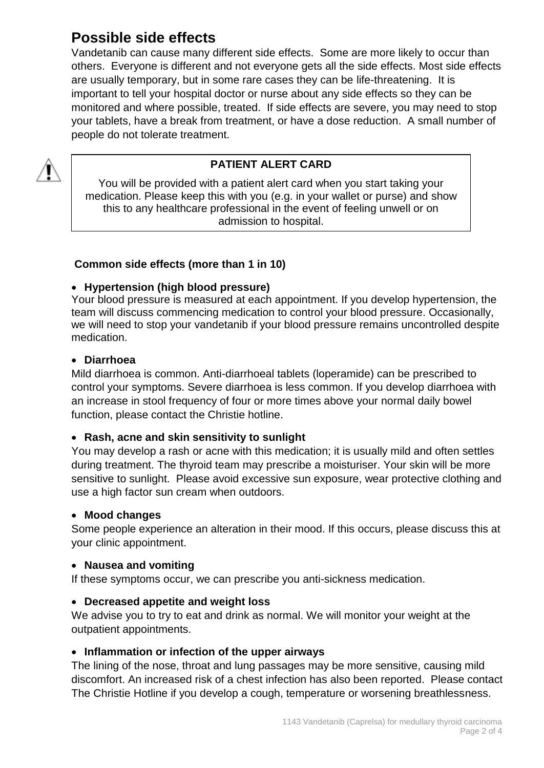# **Possible side effects**

Vandetanib can cause many different side effects. Some are more likely to occur than others. Everyone is different and not everyone gets all the side effects. Most side effects are usually temporary, but in some rare cases they can be life-threatening. It is important to tell your hospital doctor or nurse about any side effects so they can be monitored and where possible, treated. If side effects are severe, you may need to stop your tablets, have a break from treatment, or have a dose reduction. A small number of people do not tolerate treatment.



# **PATIENT ALERT CARD**

You will be provided with a patient alert card when you start taking your medication. Please keep this with you (e.g. in your wallet or purse) and show this to any healthcare professional in the event of feeling unwell or on admission to hospital.

### **Common side effects (more than 1 in 10)**

#### **Hypertension (high blood pressure)**

Your blood pressure is measured at each appointment. If you develop hypertension, the team will discuss commencing medication to control your blood pressure. Occasionally, we will need to stop your vandetanib if your blood pressure remains uncontrolled despite medication.

#### **Diarrhoea**

Mild diarrhoea is common. Anti-diarrhoeal tablets (loperamide) can be prescribed to control your symptoms. Severe diarrhoea is less common. If you develop diarrhoea with an increase in stool frequency of four or more times above your normal daily bowel function, please contact the Christie hotline.

### **Rash, acne and skin sensitivity to sunlight**

You may develop a rash or acne with this medication; it is usually mild and often settles during treatment. The thyroid team may prescribe a moisturiser. Your skin will be more sensitive to sunlight. Please avoid excessive sun exposure, wear protective clothing and use a high factor sun cream when outdoors.

#### **Mood changes**

Some people experience an alteration in their mood. If this occurs, please discuss this at your clinic appointment.

#### **Nausea and vomiting**

If these symptoms occur, we can prescribe you anti-sickness medication.

#### **Decreased appetite and weight loss**

We advise you to try to eat and drink as normal. We will monitor your weight at the outpatient appointments.

### **Inflammation or infection of the upper airways**

The lining of the nose, throat and lung passages may be more sensitive, causing mild discomfort. An increased risk of a chest infection has also been reported. Please contact The Christie Hotline if you develop a cough, temperature or worsening breathlessness.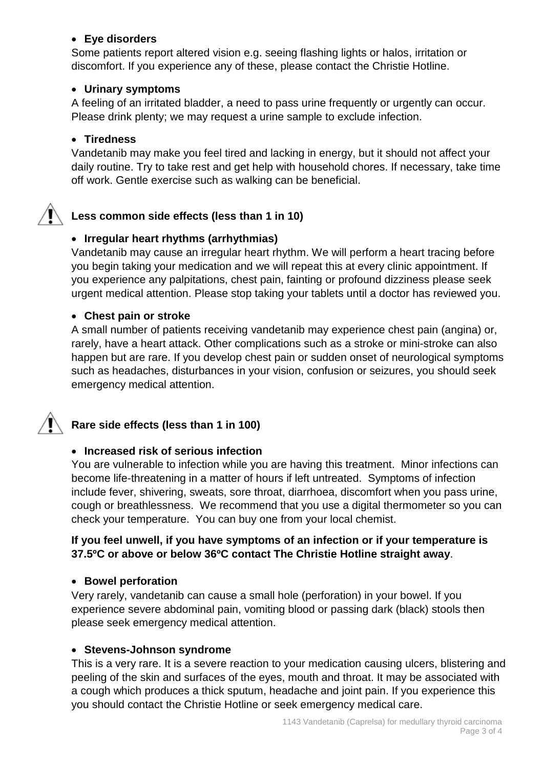## **Eye disorders**

Some patients report altered vision e.g. seeing flashing lights or halos, irritation or discomfort. If you experience any of these, please contact the Christie Hotline.

# **Urinary symptoms**

A feeling of an irritated bladder, a need to pass urine frequently or urgently can occur. Please drink plenty; we may request a urine sample to exclude infection.

# **Tiredness**

Vandetanib may make you feel tired and lacking in energy, but it should not affect your daily routine. Try to take rest and get help with household chores. If necessary, take time off work. Gentle exercise such as walking can be beneficial.



# **Less common side effects (less than 1 in 10)**

# **Irregular heart rhythms (arrhythmias)**

Vandetanib may cause an irregular heart rhythm. We will perform a heart tracing before you begin taking your medication and we will repeat this at every clinic appointment. If you experience any palpitations, chest pain, fainting or profound dizziness please seek urgent medical attention. Please stop taking your tablets until a doctor has reviewed you.

# **Chest pain or stroke**

A small number of patients receiving vandetanib may experience chest pain (angina) or, rarely, have a heart attack. Other complications such as a stroke or mini-stroke can also happen but are rare. If you develop chest pain or sudden onset of neurological symptoms such as headaches, disturbances in your vision, confusion or seizures, you should seek emergency medical attention.



# **Rare side effects (less than 1 in 100)**

# **Increased risk of serious infection**

You are vulnerable to infection while you are having this treatment. Minor infections can become life-threatening in a matter of hours if left untreated. Symptoms of infection include fever, shivering, sweats, sore throat, diarrhoea, discomfort when you pass urine, cough or breathlessness. We recommend that you use a digital thermometer so you can check your temperature. You can buy one from your local chemist.

### **If you feel unwell, if you have symptoms of an infection or if your temperature is 37.5ºC or above or below 36ºC contact The Christie Hotline straight away**.

### **Bowel perforation**

Very rarely, vandetanib can cause a small hole (perforation) in your bowel. If you experience severe abdominal pain, vomiting blood or passing dark (black) stools then please seek emergency medical attention.

### **Stevens-Johnson syndrome**

This is a very rare. It is a severe reaction to your medication causing ulcers, blistering and peeling of the skin and surfaces of the eyes, mouth and throat. It may be associated with a cough which produces a thick sputum, headache and joint pain. If you experience this you should contact the Christie Hotline or seek emergency medical care.